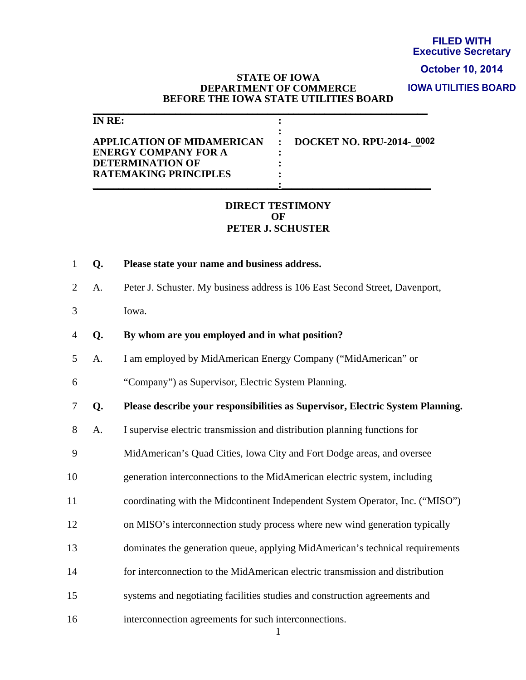# **Executive Secretary**

#### **October 10, 2014**

#### **STATE OF IOWA DEPARTMENT OF COMMERCE BEFORE THE IOWA STATE UTILITIES BOARD**

**IOWA UTILITIES BOARD**

|    | <b>STATE OF IOWA</b><br><b>DEPARTMENT OF COMMERCE</b><br>BEFORE THE IOWA STATE UTILITIES BOARD<br><b>IN RE:</b><br><b>APPLICATION OF MIDAMERICAN</b><br><b>ENERGY COMPANY FOR A</b><br><b>DETERMINATION OF</b><br><b>RATEMAKING PRINCIPLES</b> | <b>FILED WITH</b><br><b>Executive Secre</b><br>October 10, 20<br><b>IOWA UTILITIES BO</b><br><b>DOCKET NO. RPU-2014-0002</b> |
|----|------------------------------------------------------------------------------------------------------------------------------------------------------------------------------------------------------------------------------------------------|------------------------------------------------------------------------------------------------------------------------------|
|    | <b>DIRECT TESTIMONY</b><br>OF<br>PETER J. SCHUSTER                                                                                                                                                                                             |                                                                                                                              |
| Q. | Please state your name and business address.                                                                                                                                                                                                   |                                                                                                                              |
| A. | Peter J. Schuster. My business address is 106 East Second Street, Davenport,                                                                                                                                                                   |                                                                                                                              |
|    | Iowa.                                                                                                                                                                                                                                          |                                                                                                                              |
| Q. | By whom are you employed and in what position?                                                                                                                                                                                                 |                                                                                                                              |
| A. | I am employed by MidAmerican Energy Company ("MidAmerican" or                                                                                                                                                                                  |                                                                                                                              |
|    | "Company") as Supervisor, Electric System Planning.                                                                                                                                                                                            |                                                                                                                              |
| Q. |                                                                                                                                                                                                                                                | Please describe your responsibilities as Supervisor, Electric System Planning.                                               |
| A. | I supervise electric transmission and distribution planning functions for                                                                                                                                                                      |                                                                                                                              |
|    | MidAmerican's Quad Cities, Iowa City and Fort Dodge areas, and oversee                                                                                                                                                                         |                                                                                                                              |
|    | generation interconnections to the MidAmerican electric system, including                                                                                                                                                                      |                                                                                                                              |
|    |                                                                                                                                                                                                                                                | coordinating with the Midcontinent Independent System Operator, Inc. ("MISO")                                                |
|    | on MISO's interconnection study process where new wind generation typically                                                                                                                                                                    |                                                                                                                              |
|    |                                                                                                                                                                                                                                                | dominates the generation queue, applying MidAmerican's technical requirements                                                |
|    | for interconnection to the MidAmerican electric transmission and distribution                                                                                                                                                                  |                                                                                                                              |
|    | systems and negotiating facilities studies and construction agreements and                                                                                                                                                                     |                                                                                                                              |
|    | interconnection agreements for such interconnections.                                                                                                                                                                                          |                                                                                                                              |

## **DIRECT TESTIMONY OF PETER J. SCHUSTER**

- 1 **Q. Please state your name and business address.**
- 2 A. Peter J. Schuster. My business address is 106 East Second Street, Davenport,
- 3 Iowa.
- 4 **Q. By whom are you employed and in what position?**
- 5 A. I am employed by MidAmerican Energy Company ("MidAmerican" or
- 6 "Company") as Supervisor, Electric System Planning.
- 7 **Q. Please describe your responsibilities as Supervisor, Electric System Planning.**
- 8 A. I supervise electric transmission and distribution planning functions for
- 9 MidAmerican's Quad Cities, Iowa City and Fort Dodge areas, and oversee
- 10 generation interconnections to the MidAmerican electric system, including
- 11 coordinating with the Midcontinent Independent System Operator, Inc. ("MISO")
- 12 on MISO's interconnection study process where new wind generation typically
- 13 dominates the generation queue, applying MidAmerican's technical requirements
- 14 for interconnection to the MidAmerican electric transmission and distribution
- 15 systems and negotiating facilities studies and construction agreements and
-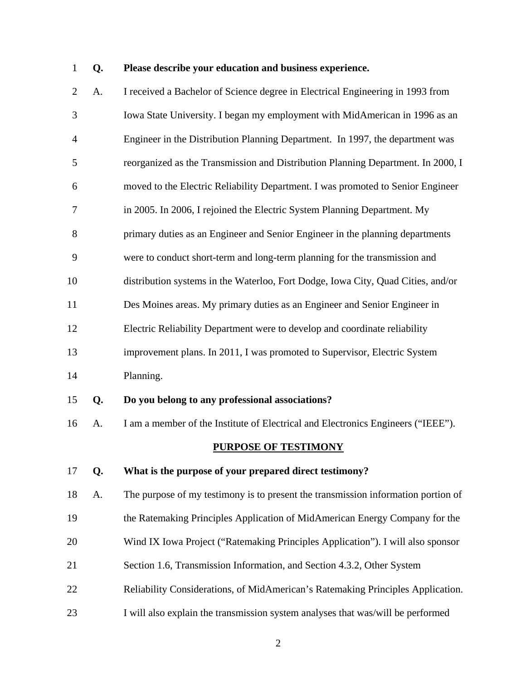# 1 **Q. Please describe your education and business experience.**

| $\overline{2}$ | A. | I received a Bachelor of Science degree in Electrical Engineering in 1993 from    |
|----------------|----|-----------------------------------------------------------------------------------|
| 3              |    | Iowa State University. I began my employment with MidAmerican in 1996 as an       |
| 4              |    | Engineer in the Distribution Planning Department. In 1997, the department was     |
| 5              |    | reorganized as the Transmission and Distribution Planning Department. In 2000, I  |
| 6              |    | moved to the Electric Reliability Department. I was promoted to Senior Engineer   |
| 7              |    | in 2005. In 2006, I rejoined the Electric System Planning Department. My          |
| 8              |    | primary duties as an Engineer and Senior Engineer in the planning departments     |
| 9              |    | were to conduct short-term and long-term planning for the transmission and        |
| 10             |    | distribution systems in the Waterloo, Fort Dodge, Iowa City, Quad Cities, and/or  |
| 11             |    | Des Moines areas. My primary duties as an Engineer and Senior Engineer in         |
| 12             |    | Electric Reliability Department were to develop and coordinate reliability        |
| 13             |    | improvement plans. In 2011, I was promoted to Supervisor, Electric System         |
| 14             |    | Planning.                                                                         |
| 15             | Q. | Do you belong to any professional associations?                                   |
| 16             | Α. | I am a member of the Institute of Electrical and Electronics Engineers ("IEEE").  |
|                |    | <b>PURPOSE OF TESTIMONY</b>                                                       |
| 17             | Q. | What is the purpose of your prepared direct testimony?                            |
| 18             | A. | The purpose of my testimony is to present the transmission information portion of |
| 19             |    | the Ratemaking Principles Application of MidAmerican Energy Company for the       |
| 20             |    | Wind IX Iowa Project ("Ratemaking Principles Application"). I will also sponsor   |
| 21             |    | Section 1.6, Transmission Information, and Section 4.3.2, Other System            |
| 22             |    | Reliability Considerations, of MidAmerican's Ratemaking Principles Application.   |

23 I will also explain the transmission system analyses that was/will be performed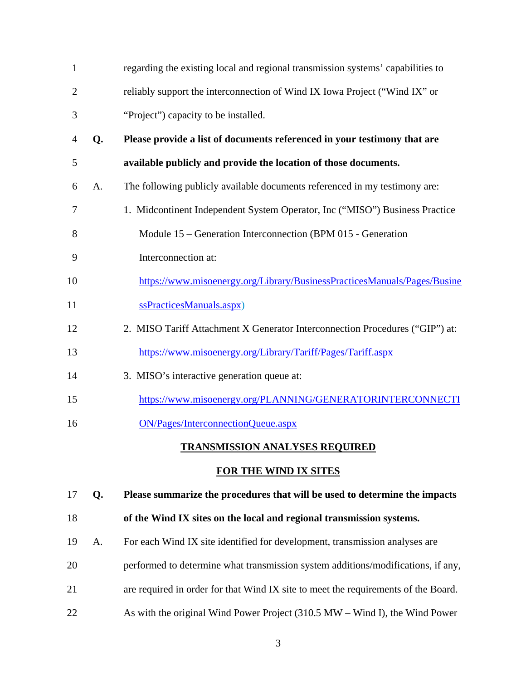| $\mathbf{1}$   |                | regarding the existing local and regional transmission systems' capabilities to |
|----------------|----------------|---------------------------------------------------------------------------------|
| $\overline{2}$ |                | reliably support the interconnection of Wind IX Iowa Project ("Wind IX" or      |
| 3              |                | "Project") capacity to be installed.                                            |
| 4              | Q.             | Please provide a list of documents referenced in your testimony that are        |
| 5              |                | available publicly and provide the location of those documents.                 |
| 6              | A <sub>1</sub> | The following publicly available documents referenced in my testimony are:      |
| 7              |                | 1. Midcontinent Independent System Operator, Inc ("MISO") Business Practice     |
| 8              |                | Module 15 – Generation Interconnection (BPM 015 - Generation                    |
| 9              |                | Interconnection at:                                                             |
| 10             |                | https://www.misoenergy.org/Library/BusinessPracticesManuals/Pages/Busine        |
| 11             |                | ssPracticesManuals.aspx)                                                        |
| 12             |                | 2. MISO Tariff Attachment X Generator Interconnection Procedures ("GIP") at:    |
| 13             |                | https://www.misoenergy.org/Library/Tariff/Pages/Tariff.aspx                     |
| 14             |                | 3. MISO's interactive generation queue at:                                      |
| 15             |                | https://www.misoenergy.org/PLANNING/GENERATORINTERCONNECTI                      |
| 16             |                | ON/Pages/InterconnectionQueue.aspx                                              |
|                |                | <b>TRANSMISSION ANALYSES REQUIRED</b>                                           |

## **FOR THE WIND IX SITES**

17 **Q. Please summarize the procedures that will be used to determine the impacts** 

## 18 **of the Wind IX sites on the local and regional transmission systems.**

- 19 A. For each Wind IX site identified for development, transmission analyses are
- 20 performed to determine what transmission system additions/modifications, if any,
- 21 are required in order for that Wind IX site to meet the requirements of the Board.
- 22 As with the original Wind Power Project (310.5 MW Wind I), the Wind Power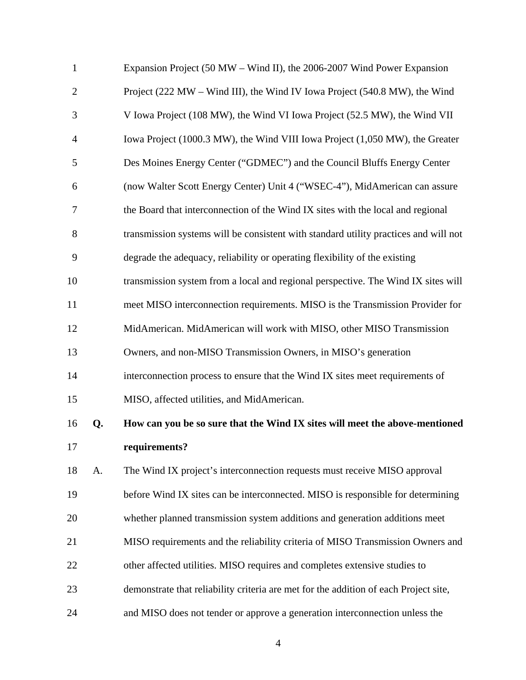| $\mathbf{1}$   |    | Expansion Project (50 MW – Wind II), the 2006-2007 Wind Power Expansion              |
|----------------|----|--------------------------------------------------------------------------------------|
| $\overline{2}$ |    | Project (222 MW – Wind III), the Wind IV Iowa Project (540.8 MW), the Wind           |
| 3              |    | V Iowa Project (108 MW), the Wind VI Iowa Project (52.5 MW), the Wind VII            |
| $\overline{4}$ |    | Iowa Project (1000.3 MW), the Wind VIII Iowa Project (1,050 MW), the Greater         |
| 5              |    | Des Moines Energy Center ("GDMEC") and the Council Bluffs Energy Center              |
| 6              |    | (now Walter Scott Energy Center) Unit 4 ("WSEC-4"), MidAmerican can assure           |
| $\tau$         |    | the Board that interconnection of the Wind IX sites with the local and regional      |
| 8              |    | transmission systems will be consistent with standard utility practices and will not |
| 9              |    | degrade the adequacy, reliability or operating flexibility of the existing           |
| 10             |    | transmission system from a local and regional perspective. The Wind IX sites will    |
| 11             |    | meet MISO interconnection requirements. MISO is the Transmission Provider for        |
| 12             |    | MidAmerican. MidAmerican will work with MISO, other MISO Transmission                |
| 13             |    | Owners, and non-MISO Transmission Owners, in MISO's generation                       |
| 14             |    | interconnection process to ensure that the Wind IX sites meet requirements of        |
| 15             |    | MISO, affected utilities, and MidAmerican.                                           |
| 16             | Q. | How can you be so sure that the Wind IX sites will meet the above-mentioned          |
| 17             |    | requirements?                                                                        |
| 18             | A. | The Wind IX project's interconnection requests must receive MISO approval            |
| 19             |    | before Wind IX sites can be interconnected. MISO is responsible for determining      |
| 20             |    | whether planned transmission system additions and generation additions meet          |
| 21             |    | MISO requirements and the reliability criteria of MISO Transmission Owners and       |
| 22             |    | other affected utilities. MISO requires and completes extensive studies to           |
| 23             |    | demonstrate that reliability criteria are met for the addition of each Project site, |
| 24             |    | and MISO does not tender or approve a generation interconnection unless the          |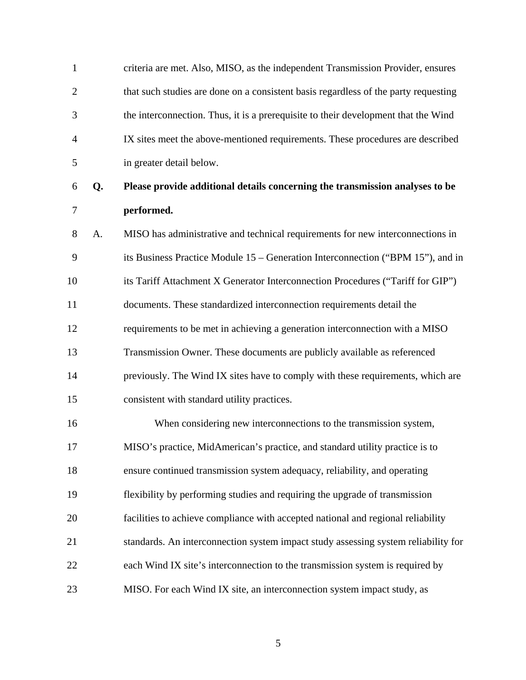| $\mathbf{1}$   |    | criteria are met. Also, MISO, as the independent Transmission Provider, ensures     |
|----------------|----|-------------------------------------------------------------------------------------|
| $\overline{2}$ |    | that such studies are done on a consistent basis regardless of the party requesting |
| 3              |    | the interconnection. Thus, it is a prerequisite to their development that the Wind  |
| $\overline{4}$ |    | IX sites meet the above-mentioned requirements. These procedures are described      |
| 5              |    | in greater detail below.                                                            |
| 6              | Q. | Please provide additional details concerning the transmission analyses to be        |
| 7              |    | performed.                                                                          |
| 8              | A. | MISO has administrative and technical requirements for new interconnections in      |
| 9              |    | its Business Practice Module 15 – Generation Interconnection ("BPM 15"), and in     |
| 10             |    | its Tariff Attachment X Generator Interconnection Procedures ("Tariff for GIP")     |
| 11             |    | documents. These standardized interconnection requirements detail the               |
| 12             |    | requirements to be met in achieving a generation interconnection with a MISO        |
| 13             |    | Transmission Owner. These documents are publicly available as referenced            |
| 14             |    | previously. The Wind IX sites have to comply with these requirements, which are     |
| 15             |    | consistent with standard utility practices.                                         |
| 16             |    | When considering new interconnections to the transmission system,                   |
| 17             |    | MISO's practice, MidAmerican's practice, and standard utility practice is to        |
| 18             |    | ensure continued transmission system adequacy, reliability, and operating           |
| 19             |    | flexibility by performing studies and requiring the upgrade of transmission         |
| 20             |    | facilities to achieve compliance with accepted national and regional reliability    |
| 21             |    | standards. An interconnection system impact study assessing system reliability for  |
| 22             |    | each Wind IX site's interconnection to the transmission system is required by       |
| 23             |    | MISO. For each Wind IX site, an interconnection system impact study, as             |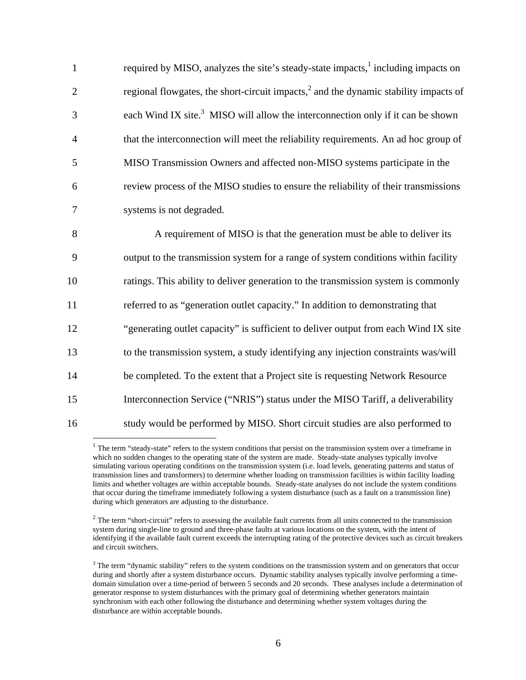| $\mathbf{1}$   | required by MISO, analyzes the site's steady-state impacts, <sup>1</sup> including impacts on |
|----------------|-----------------------------------------------------------------------------------------------|
| $\overline{2}$ | regional flowgates, the short-circuit impacts, $^{2}$ and the dynamic stability impacts of    |
| 3              | each Wind IX site. <sup>3</sup> MISO will allow the interconnection only if it can be shown   |
| $\overline{4}$ | that the interconnection will meet the reliability requirements. An ad hoc group of           |
| 5              | MISO Transmission Owners and affected non-MISO systems participate in the                     |
| 6              | review process of the MISO studies to ensure the reliability of their transmissions           |
| 7              | systems is not degraded.                                                                      |
| 8              | A requirement of MISO is that the generation must be able to deliver its                      |
| 9              | output to the transmission system for a range of system conditions within facility            |
| 10             | ratings. This ability to deliver generation to the transmission system is commonly            |
| 11             | referred to as "generation outlet capacity." In addition to demonstrating that                |
| 12             | "generating outlet capacity" is sufficient to deliver output from each Wind IX site           |
| 13             | to the transmission system, a study identifying any injection constraints was/will            |
| 14             | be completed. To the extent that a Project site is requesting Network Resource                |
| 15             | Interconnection Service ("NRIS") status under the MISO Tariff, a deliverability               |
| 16             | study would be performed by MISO. Short circuit studies are also performed to                 |

 $1$  The term "steady-state" refers to the system conditions that persist on the transmission system over a timeframe in which no sudden changes to the operating state of the system are made. Steady-state analyses typically involve simulating various operating conditions on the transmission system (i.e. load levels, generating patterns and status of transmission lines and transformers) to determine whether loading on transmission facilities is within facility loading limits and whether voltages are within acceptable bounds. Steady-state analyses do not include the system conditions that occur during the timeframe immediately following a system disturbance (such as a fault on a transmission line) during which generators are adjusting to the disturbance.

 $\overline{a}$ 

 $2$  The term "short-circuit" refers to assessing the available fault currents from all units connected to the transmission system during single-line to ground and three-phase faults at various locations on the system, with the intent of identifying if the available fault current exceeds the interrupting rating of the protective devices such as circuit breakers and circuit switchers.

 $3$  The term "dynamic stability" refers to the system conditions on the transmission system and on generators that occur during and shortly after a system disturbance occurs. Dynamic stability analyses typically involve performing a timedomain simulation over a time-period of between 5 seconds and 20 seconds. These analyses include a determination of generator response to system disturbances with the primary goal of determining whether generators maintain synchronism with each other following the disturbance and determining whether system voltages during the disturbance are within acceptable bounds.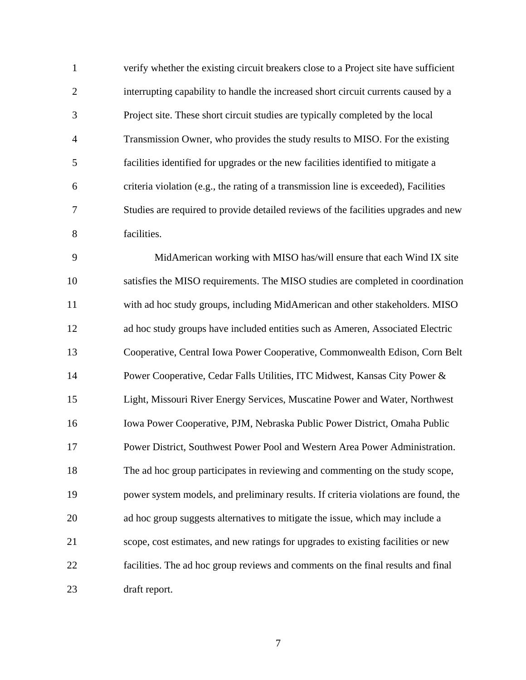1 verify whether the existing circuit breakers close to a Project site have sufficient 2 interrupting capability to handle the increased short circuit currents caused by a 3 Project site. These short circuit studies are typically completed by the local 4 Transmission Owner, who provides the study results to MISO. For the existing 5 facilities identified for upgrades or the new facilities identified to mitigate a 6 criteria violation (e.g., the rating of a transmission line is exceeded), Facilities 7 Studies are required to provide detailed reviews of the facilities upgrades and new 8 facilities.

9 MidAmerican working with MISO has/will ensure that each Wind IX site 10 satisfies the MISO requirements. The MISO studies are completed in coordination 11 with ad hoc study groups, including MidAmerican and other stakeholders. MISO 12 ad hoc study groups have included entities such as Ameren, Associated Electric 13 Cooperative, Central Iowa Power Cooperative, Commonwealth Edison, Corn Belt 14 Power Cooperative, Cedar Falls Utilities, ITC Midwest, Kansas City Power & 15 Light, Missouri River Energy Services, Muscatine Power and Water, Northwest 16 Iowa Power Cooperative, PJM, Nebraska Public Power District, Omaha Public 17 Power District, Southwest Power Pool and Western Area Power Administration. 18 The ad hoc group participates in reviewing and commenting on the study scope, 19 power system models, and preliminary results. If criteria violations are found, the 20 ad hoc group suggests alternatives to mitigate the issue, which may include a 21 scope, cost estimates, and new ratings for upgrades to existing facilities or new 22 facilities. The ad hoc group reviews and comments on the final results and final 23 draft report.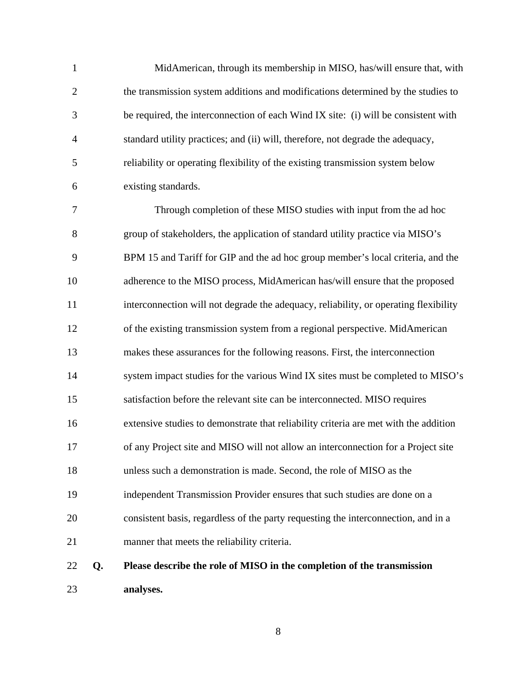1 MidAmerican, through its membership in MISO, has/will ensure that, with 2 the transmission system additions and modifications determined by the studies to 3 be required, the interconnection of each Wind IX site: (i) will be consistent with 4 standard utility practices; and (ii) will, therefore, not degrade the adequacy, 5 reliability or operating flexibility of the existing transmission system below 6 existing standards.

7 Through completion of these MISO studies with input from the ad hoc 8 group of stakeholders, the application of standard utility practice via MISO's 9 BPM 15 and Tariff for GIP and the ad hoc group member's local criteria, and the 10 adherence to the MISO process, MidAmerican has/will ensure that the proposed 11 interconnection will not degrade the adequacy, reliability, or operating flexibility 12 of the existing transmission system from a regional perspective. MidAmerican 13 makes these assurances for the following reasons. First, the interconnection 14 system impact studies for the various Wind IX sites must be completed to MISO's 15 satisfaction before the relevant site can be interconnected. MISO requires 16 extensive studies to demonstrate that reliability criteria are met with the addition 17 of any Project site and MISO will not allow an interconnection for a Project site 18 unless such a demonstration is made. Second, the role of MISO as the 19 independent Transmission Provider ensures that such studies are done on a 20 consistent basis, regardless of the party requesting the interconnection, and in a 21 manner that meets the reliability criteria.

22 **Q. Please describe the role of MISO in the completion of the transmission**  23 **analyses.**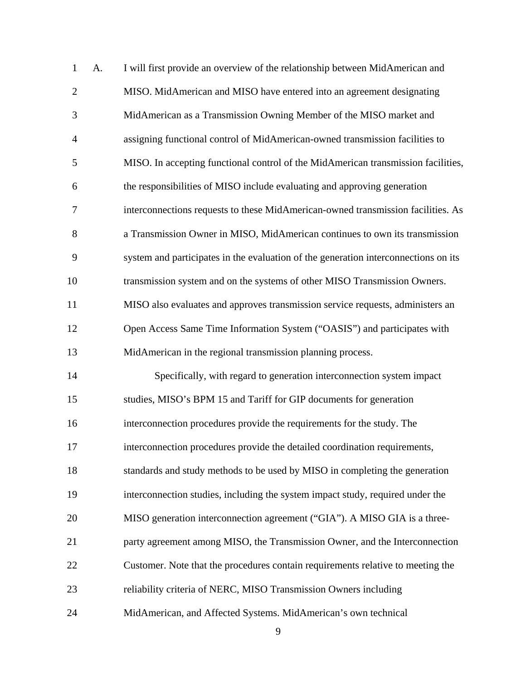| $\mathbf{1}$   | A. | I will first provide an overview of the relationship between MidAmerican and        |
|----------------|----|-------------------------------------------------------------------------------------|
| $\overline{2}$ |    | MISO. MidAmerican and MISO have entered into an agreement designating               |
| 3              |    | MidAmerican as a Transmission Owning Member of the MISO market and                  |
| $\overline{4}$ |    | assigning functional control of MidAmerican-owned transmission facilities to        |
| 5              |    | MISO. In accepting functional control of the MidAmerican transmission facilities,   |
| 6              |    | the responsibilities of MISO include evaluating and approving generation            |
| 7              |    | interconnections requests to these MidAmerican-owned transmission facilities. As    |
| 8              |    | a Transmission Owner in MISO, MidAmerican continues to own its transmission         |
| 9              |    | system and participates in the evaluation of the generation interconnections on its |
| 10             |    | transmission system and on the systems of other MISO Transmission Owners.           |
| 11             |    | MISO also evaluates and approves transmission service requests, administers an      |
| 12             |    | Open Access Same Time Information System ("OASIS") and participates with            |
| 13             |    | MidAmerican in the regional transmission planning process.                          |
| 14             |    | Specifically, with regard to generation interconnection system impact               |
| 15             |    | studies, MISO's BPM 15 and Tariff for GIP documents for generation                  |
| 16             |    | interconnection procedures provide the requirements for the study. The              |
| 17             |    | interconnection procedures provide the detailed coordination requirements,          |
| 18             |    | standards and study methods to be used by MISO in completing the generation         |
| 19             |    | interconnection studies, including the system impact study, required under the      |
| 20             |    | MISO generation interconnection agreement ("GIA"). A MISO GIA is a three-           |
| 21             |    | party agreement among MISO, the Transmission Owner, and the Interconnection         |
| 22             |    | Customer. Note that the procedures contain requirements relative to meeting the     |
| 23             |    | reliability criteria of NERC, MISO Transmission Owners including                    |
| 24             |    | MidAmerican, and Affected Systems. MidAmerican's own technical                      |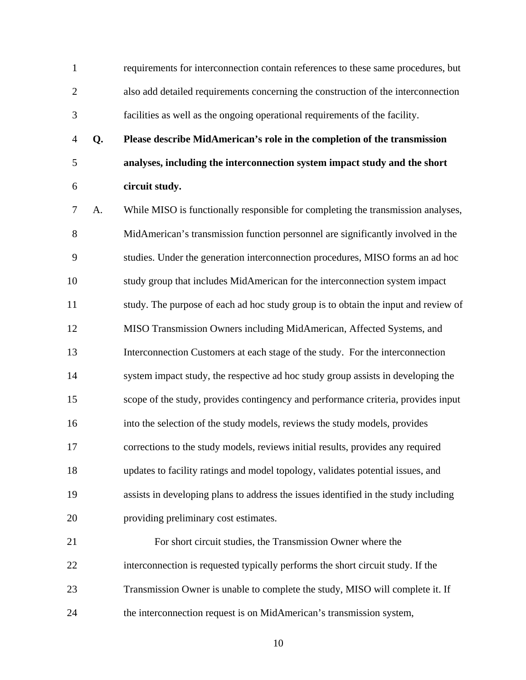1 requirements for interconnection contain references to these same procedures, but 2 also add detailed requirements concerning the construction of the interconnection 3 facilities as well as the ongoing operational requirements of the facility.

4 **Q. Please describe MidAmerican's role in the completion of the transmission**  5 **analyses, including the interconnection system impact study and the short**  6 **circuit study.** 

7 A. While MISO is functionally responsible for completing the transmission analyses, 8 MidAmerican's transmission function personnel are significantly involved in the 9 studies. Under the generation interconnection procedures, MISO forms an ad hoc 10 study group that includes MidAmerican for the interconnection system impact 11 study. The purpose of each ad hoc study group is to obtain the input and review of 12 MISO Transmission Owners including MidAmerican, Affected Systems, and 13 Interconnection Customers at each stage of the study. For the interconnection 14 system impact study, the respective ad hoc study group assists in developing the 15 scope of the study, provides contingency and performance criteria, provides input 16 into the selection of the study models, reviews the study models, provides 17 corrections to the study models, reviews initial results, provides any required 18 updates to facility ratings and model topology, validates potential issues, and 19 assists in developing plans to address the issues identified in the study including 20 providing preliminary cost estimates.

21 For short circuit studies, the Transmission Owner where the 22 interconnection is requested typically performs the short circuit study. If the 23 Transmission Owner is unable to complete the study, MISO will complete it. If 24 the interconnection request is on MidAmerican's transmission system,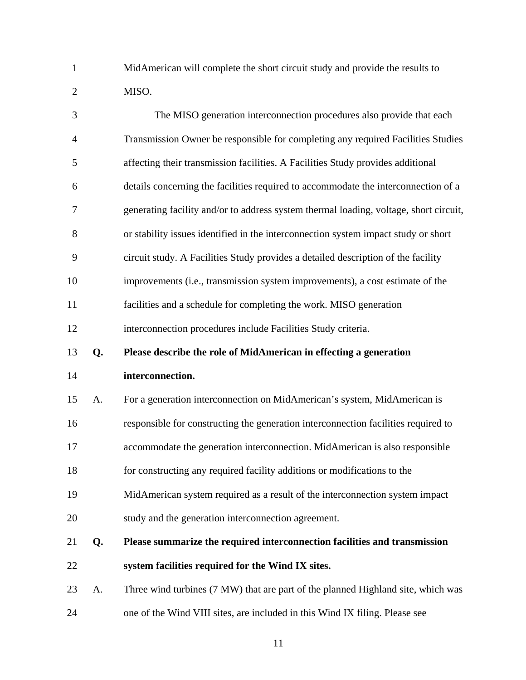1 MidAmerican will complete the short circuit study and provide the results to 2 MISO.

| 3     |    | The MISO generation interconnection procedures also provide that each                 |
|-------|----|---------------------------------------------------------------------------------------|
| 4     |    | Transmission Owner be responsible for completing any required Facilities Studies      |
| 5     |    | affecting their transmission facilities. A Facilities Study provides additional       |
| 6     |    | details concerning the facilities required to accommodate the interconnection of a    |
| 7     |    | generating facility and/or to address system thermal loading, voltage, short circuit, |
| $8\,$ |    | or stability issues identified in the interconnection system impact study or short    |
| 9     |    | circuit study. A Facilities Study provides a detailed description of the facility     |
| 10    |    | improvements (i.e., transmission system improvements), a cost estimate of the         |
| 11    |    | facilities and a schedule for completing the work. MISO generation                    |
| 12    |    | interconnection procedures include Facilities Study criteria.                         |
| 13    | Q. | Please describe the role of MidAmerican in effecting a generation                     |
|       |    |                                                                                       |
| 14    |    | interconnection.                                                                      |
| 15    | A. | For a generation interconnection on MidAmerican's system, MidAmerican is              |
| 16    |    | responsible for constructing the generation interconnection facilities required to    |
| 17    |    | accommodate the generation interconnection. MidAmerican is also responsible           |
| 18    |    | for constructing any required facility additions or modifications to the              |
| 19    |    | MidAmerican system required as a result of the interconnection system impact          |
| 20    |    | study and the generation interconnection agreement.                                   |
| 21    | Q. | Please summarize the required interconnection facilities and transmission             |
| 22    |    | system facilities required for the Wind IX sites.                                     |
| 23    | A. | Three wind turbines (7 MW) that are part of the planned Highland site, which was      |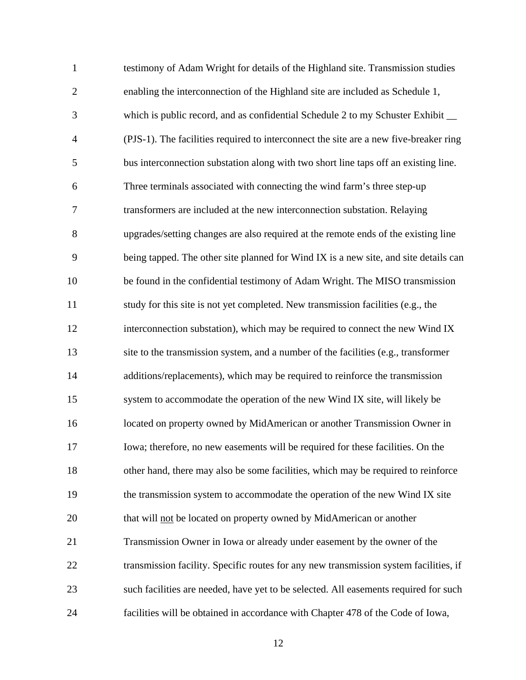| $\mathbf{1}$   | testimony of Adam Wright for details of the Highland site. Transmission studies       |
|----------------|---------------------------------------------------------------------------------------|
| $\overline{2}$ | enabling the interconnection of the Highland site are included as Schedule 1,         |
| 3              | which is public record, and as confidential Schedule 2 to my Schuster Exhibit __      |
| $\overline{4}$ | (PJS-1). The facilities required to interconnect the site are a new five-breaker ring |
| 5              | bus interconnection substation along with two short line taps off an existing line.   |
| 6              | Three terminals associated with connecting the wind farm's three step-up              |
| 7              | transformers are included at the new interconnection substation. Relaying             |
| 8              | upgrades/setting changes are also required at the remote ends of the existing line    |
| 9              | being tapped. The other site planned for Wind IX is a new site, and site details can  |
| 10             | be found in the confidential testimony of Adam Wright. The MISO transmission          |
| 11             | study for this site is not yet completed. New transmission facilities (e.g., the      |
| 12             | interconnection substation), which may be required to connect the new Wind IX         |
| 13             | site to the transmission system, and a number of the facilities (e.g., transformer    |
| 14             | additions/replacements), which may be required to reinforce the transmission          |
| 15             | system to accommodate the operation of the new Wind IX site, will likely be           |
| 16             | located on property owned by MidAmerican or another Transmission Owner in             |
| 17             | Iowa; therefore, no new easements will be required for these facilities. On the       |
| 18             | other hand, there may also be some facilities, which may be required to reinforce     |
| 19             | the transmission system to accommodate the operation of the new Wind IX site          |
| 20             | that will not be located on property owned by MidAmerican or another                  |
| 21             | Transmission Owner in Iowa or already under easement by the owner of the              |
| 22             | transmission facility. Specific routes for any new transmission system facilities, if |
| 23             | such facilities are needed, have yet to be selected. All easements required for such  |
| 24             | facilities will be obtained in accordance with Chapter 478 of the Code of Iowa,       |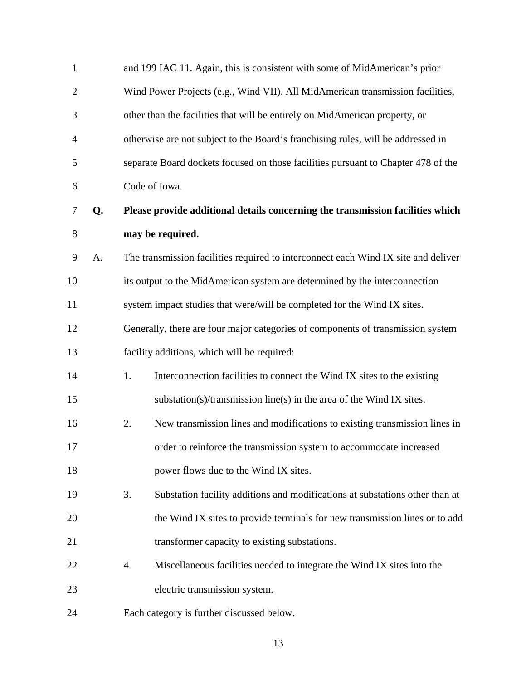| $\mathbf{1}$   |    | and 199 IAC 11. Again, this is consistent with some of MidAmerican's prior         |
|----------------|----|------------------------------------------------------------------------------------|
| $\mathbf{2}$   |    | Wind Power Projects (e.g., Wind VII). All MidAmerican transmission facilities,     |
| 3              |    | other than the facilities that will be entirely on MidAmerican property, or        |
| $\overline{4}$ |    | otherwise are not subject to the Board's franchising rules, will be addressed in   |
| 5              |    | separate Board dockets focused on those facilities pursuant to Chapter 478 of the  |
| 6              |    | Code of Iowa.                                                                      |
| $\tau$         | Q. | Please provide additional details concerning the transmission facilities which     |
| $8\,$          |    | may be required.                                                                   |
| 9              | A. | The transmission facilities required to interconnect each Wind IX site and deliver |
| 10             |    | its output to the MidAmerican system are determined by the interconnection         |
| 11             |    | system impact studies that were/will be completed for the Wind IX sites.           |
| 12             |    | Generally, there are four major categories of components of transmission system    |
| 13             |    | facility additions, which will be required:                                        |
| 14             |    | 1.<br>Interconnection facilities to connect the Wind IX sites to the existing      |
| 15             |    | substation(s)/transmission line(s) in the area of the Wind IX sites.               |
| 16             |    | 2.<br>New transmission lines and modifications to existing transmission lines in   |
| 17             |    | order to reinforce the transmission system to accommodate increased                |
| 18             |    | power flows due to the Wind IX sites.                                              |
| 19             |    | 3.<br>Substation facility additions and modifications at substations other than at |
| 20             |    | the Wind IX sites to provide terminals for new transmission lines or to add        |
| 21             |    | transformer capacity to existing substations.                                      |
| 22             |    | 4.<br>Miscellaneous facilities needed to integrate the Wind IX sites into the      |
| 23             |    | electric transmission system.                                                      |
| 24             |    | Each category is further discussed below.                                          |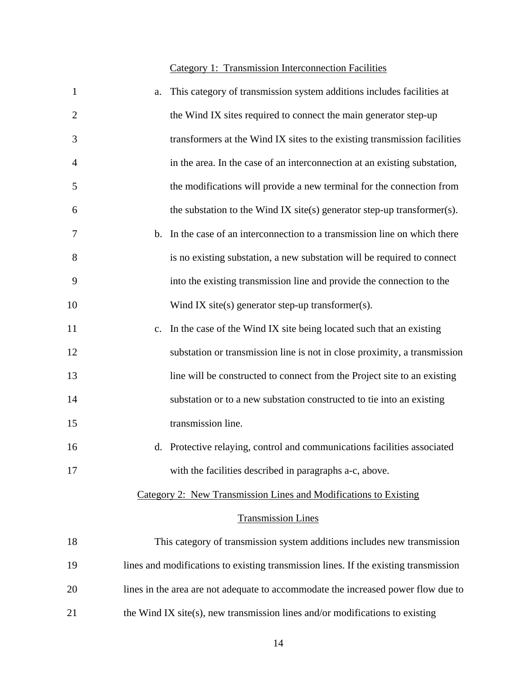# Category 1: Transmission Interconnection Facilities

| $\mathbf{1}$   | a. | This category of transmission system additions includes facilities at                |
|----------------|----|--------------------------------------------------------------------------------------|
| $\overline{2}$ |    | the Wind IX sites required to connect the main generator step-up                     |
| 3              |    | transformers at the Wind IX sites to the existing transmission facilities            |
| $\overline{4}$ |    | in the area. In the case of an interconnection at an existing substation,            |
| 5              |    | the modifications will provide a new terminal for the connection from                |
| 6              |    | the substation to the Wind IX site(s) generator step-up transformer(s).              |
| 7              |    | b. In the case of an interconnection to a transmission line on which there           |
| 8              |    | is no existing substation, a new substation will be required to connect              |
| 9              |    | into the existing transmission line and provide the connection to the                |
| 10             |    | Wind IX site(s) generator step-up transformer(s).                                    |
| 11             | c. | In the case of the Wind IX site being located such that an existing                  |
| 12             |    | substation or transmission line is not in close proximity, a transmission            |
| 13             |    | line will be constructed to connect from the Project site to an existing             |
| 14             |    | substation or to a new substation constructed to tie into an existing                |
| 15             |    | transmission line.                                                                   |
| 16             |    | d. Protective relaying, control and communications facilities associated             |
| 17             |    | with the facilities described in paragraphs a-c, above.                              |
|                |    | Category 2: New Transmission Lines and Modifications to Existing                     |
|                |    | <b>Transmission Lines</b>                                                            |
| 18             |    | This category of transmission system additions includes new transmission             |
| 19             |    | lines and modifications to existing transmission lines. If the existing transmission |
| 20             |    | lines in the area are not adequate to accommodate the increased power flow due to    |
| 21             |    | the Wind IX site(s), new transmission lines and/or modifications to existing         |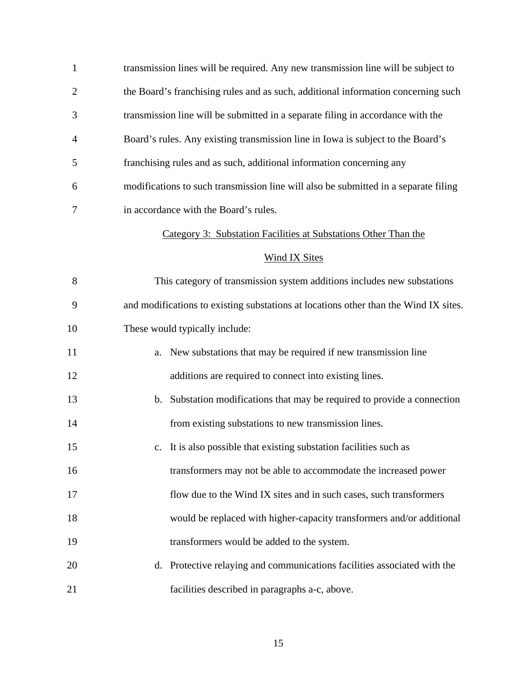1 transmission lines will be required. Any new transmission line will be subject to 2 the Board's franchising rules and as such, additional information concerning such 3 transmission line will be submitted in a separate filing in accordance with the 4 Board's rules. Any existing transmission line in Iowa is subject to the Board's 5 franchising rules and as such, additional information concerning any 6 modifications to such transmission line will also be submitted in a separate filing 7 in accordance with the Board's rules.

#### Category 3: Substation Facilities at Substations Other Than the

#### Wind IX Sites

8 This category of transmission system additions includes new substations 9 and modifications to existing substations at locations other than the Wind IX sites. 10 These would typically include:

- 11 a. New substations that may be required if new transmission line 12 additions are required to connect into existing lines.
- 13 b. Substation modifications that may be required to provide a connection 14 from existing substations to new transmission lines.
- 15 c. It is also possible that existing substation facilities such as

16 transformers may not be able to accommodate the increased power

- 17 flow due to the Wind IX sites and in such cases, such transformers
- 18 would be replaced with higher-capacity transformers and/or additional
- 19 transformers would be added to the system.
- 20 d. Protective relaying and communications facilities associated with the 21 facilities described in paragraphs a-c, above.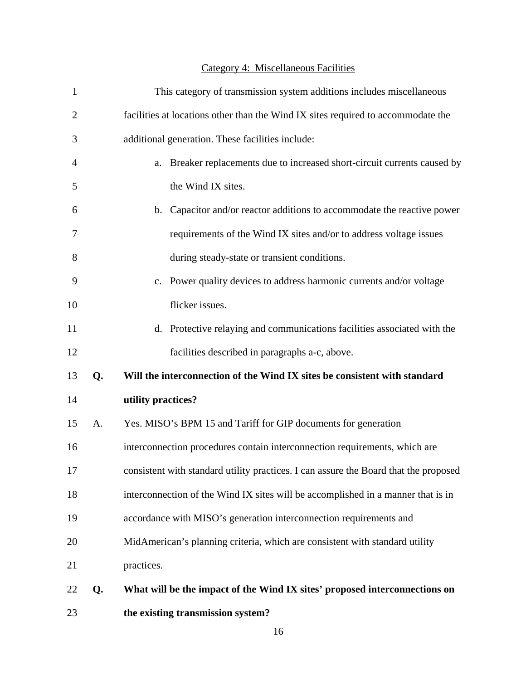# Category 4: Miscellaneous Facilities

| $\mathbf{1}$   |    | This category of transmission system additions includes miscellaneous                |
|----------------|----|--------------------------------------------------------------------------------------|
| $\overline{2}$ |    | facilities at locations other than the Wind IX sites required to accommodate the     |
| 3              |    | additional generation. These facilities include:                                     |
| $\overline{4}$ |    | Breaker replacements due to increased short-circuit currents caused by<br>a.         |
| 5              |    | the Wind IX sites.                                                                   |
| 6              |    | b. Capacitor and/or reactor additions to accommodate the reactive power              |
| 7              |    | requirements of the Wind IX sites and/or to address voltage issues                   |
| 8              |    | during steady-state or transient conditions.                                         |
| 9              |    | c. Power quality devices to address harmonic currents and/or voltage                 |
| 10             |    | flicker issues.                                                                      |
| 11             |    | Protective relaying and communications facilities associated with the<br>d.          |
| 12             |    | facilities described in paragraphs a-c, above.                                       |
| 13             | Q. | Will the interconnection of the Wind IX sites be consistent with standard            |
| 14             |    | utility practices?                                                                   |
| 15             | A. | Yes. MISO's BPM 15 and Tariff for GIP documents for generation                       |
| 16             |    | interconnection procedures contain interconnection requirements, which are           |
| 17             |    | consistent with standard utility practices. I can assure the Board that the proposed |
| 18             |    | interconnection of the Wind IX sites will be accomplished in a manner that is in     |
| 19             |    | accordance with MISO's generation interconnection requirements and                   |
| 20             |    | MidAmerican's planning criteria, which are consistent with standard utility          |
| 21             |    | practices.                                                                           |
| 22             | Q. | What will be the impact of the Wind IX sites' proposed interconnections on           |
| 23             |    | the existing transmission system?                                                    |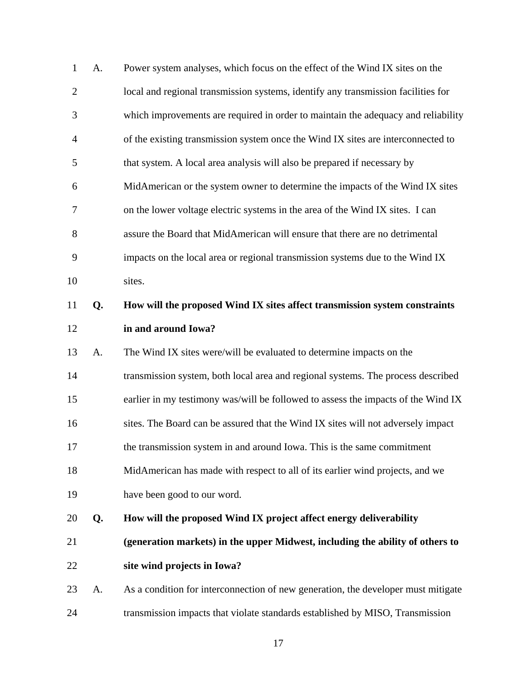| $\mathbf{1}$   | A. | Power system analyses, which focus on the effect of the Wind IX sites on the      |
|----------------|----|-----------------------------------------------------------------------------------|
| $\overline{2}$ |    | local and regional transmission systems, identify any transmission facilities for |
| 3              |    | which improvements are required in order to maintain the adequacy and reliability |
| $\overline{4}$ |    | of the existing transmission system once the Wind IX sites are interconnected to  |
| 5              |    | that system. A local area analysis will also be prepared if necessary by          |
| 6              |    | MidAmerican or the system owner to determine the impacts of the Wind IX sites     |
| 7              |    | on the lower voltage electric systems in the area of the Wind IX sites. I can     |
| 8              |    | assure the Board that MidAmerican will ensure that there are no detrimental       |
| 9              |    | impacts on the local area or regional transmission systems due to the Wind IX     |
| 10             |    | sites.                                                                            |
| 11             | Q. | How will the proposed Wind IX sites affect transmission system constraints        |
| 12             |    | in and around Iowa?                                                               |
| 13             | A. | The Wind IX sites were/will be evaluated to determine impacts on the              |
| 14             |    | transmission system, both local area and regional systems. The process described  |
| 15             |    | earlier in my testimony was/will be followed to assess the impacts of the Wind IX |
| 16             |    | sites. The Board can be assured that the Wind IX sites will not adversely impact  |
| 17             |    | the transmission system in and around Iowa. This is the same commitment           |
| 18             |    | MidAmerican has made with respect to all of its earlier wind projects, and we     |
| 19             |    | have been good to our word.                                                       |
| 20             | Q. | How will the proposed Wind IX project affect energy deliverability                |
| 21             |    | (generation markets) in the upper Midwest, including the ability of others to     |
| 22             |    | site wind projects in Iowa?                                                       |
|                |    |                                                                                   |
| 23             | A. | As a condition for interconnection of new generation, the developer must mitigate |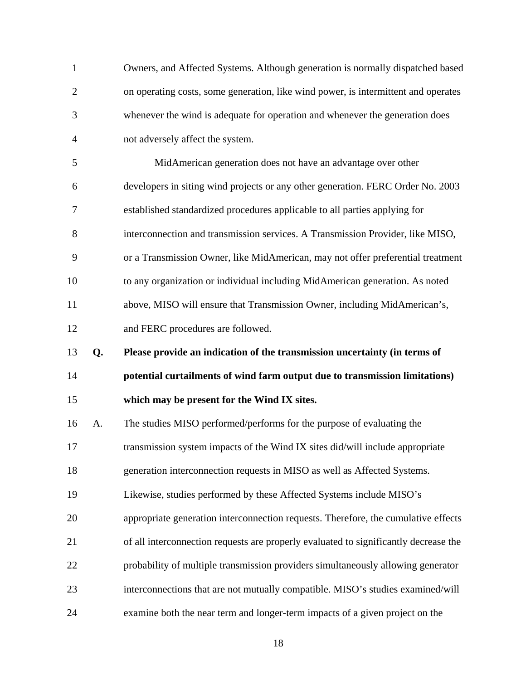| 1              |    | Owners, and Affected Systems. Although generation is normally dispatched based       |
|----------------|----|--------------------------------------------------------------------------------------|
| $\overline{2}$ |    | on operating costs, some generation, like wind power, is intermittent and operates   |
| 3              |    | whenever the wind is adequate for operation and whenever the generation does         |
| $\overline{4}$ |    | not adversely affect the system.                                                     |
| 5              |    | MidAmerican generation does not have an advantage over other                         |
| 6              |    | developers in siting wind projects or any other generation. FERC Order No. 2003      |
| 7              |    | established standardized procedures applicable to all parties applying for           |
| 8              |    | interconnection and transmission services. A Transmission Provider, like MISO,       |
| 9              |    | or a Transmission Owner, like MidAmerican, may not offer preferential treatment      |
| 10             |    | to any organization or individual including MidAmerican generation. As noted         |
| 11             |    | above, MISO will ensure that Transmission Owner, including MidAmerican's,            |
| 12             |    | and FERC procedures are followed.                                                    |
|                |    |                                                                                      |
| 13             | Q. | Please provide an indication of the transmission uncertainty (in terms of            |
| 14             |    | potential curtailments of wind farm output due to transmission limitations)          |
| 15             |    | which may be present for the Wind IX sites.                                          |
| 16             | A. | The studies MISO performed/performs for the purpose of evaluating the                |
| 17             |    | transmission system impacts of the Wind IX sites did/will include appropriate        |
| 18             |    | generation interconnection requests in MISO as well as Affected Systems.             |
| 19             |    | Likewise, studies performed by these Affected Systems include MISO's                 |
| 20             |    | appropriate generation interconnection requests. Therefore, the cumulative effects   |
| 21             |    | of all interconnection requests are properly evaluated to significantly decrease the |
| 22             |    | probability of multiple transmission providers simultaneously allowing generator     |
| 23             |    | interconnections that are not mutually compatible. MISO's studies examined/will      |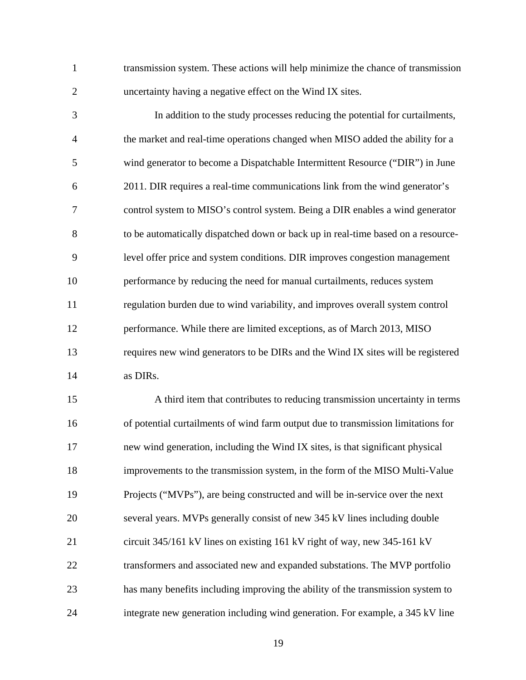1 transmission system. These actions will help minimize the chance of transmission 2 uncertainty having a negative effect on the Wind IX sites.

3 In addition to the study processes reducing the potential for curtailments, 4 the market and real-time operations changed when MISO added the ability for a 5 wind generator to become a Dispatchable Intermittent Resource ("DIR") in June 6 2011. DIR requires a real-time communications link from the wind generator's 7 control system to MISO's control system. Being a DIR enables a wind generator 8 to be automatically dispatched down or back up in real-time based on a resource-9 level offer price and system conditions. DIR improves congestion management 10 performance by reducing the need for manual curtailments, reduces system 11 regulation burden due to wind variability, and improves overall system control 12 performance. While there are limited exceptions, as of March 2013, MISO 13 requires new wind generators to be DIRs and the Wind IX sites will be registered 14 as DIRs.

15 A third item that contributes to reducing transmission uncertainty in terms 16 of potential curtailments of wind farm output due to transmission limitations for 17 new wind generation, including the Wind IX sites, is that significant physical 18 improvements to the transmission system, in the form of the MISO Multi-Value 19 Projects ("MVPs"), are being constructed and will be in-service over the next 20 several years. MVPs generally consist of new 345 kV lines including double 21 circuit 345/161 kV lines on existing 161 kV right of way, new 345-161 kV 22 transformers and associated new and expanded substations. The MVP portfolio 23 has many benefits including improving the ability of the transmission system to 24 integrate new generation including wind generation. For example, a 345 kV line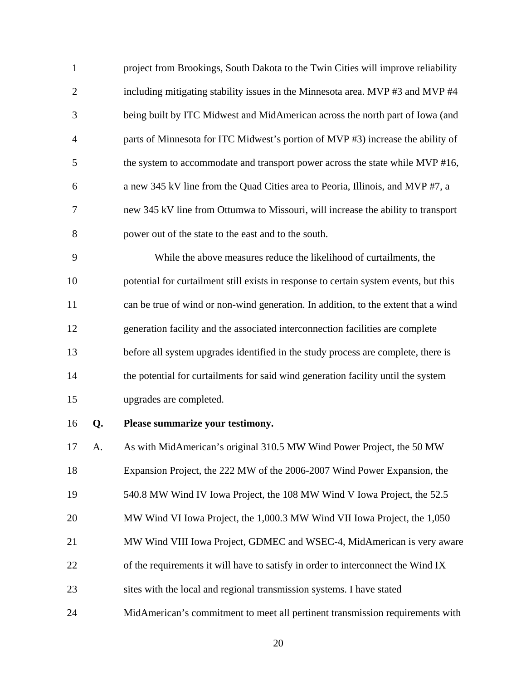| $\mathbf{1}$   | project from Brookings, South Dakota to the Twin Cities will improve reliability |
|----------------|----------------------------------------------------------------------------------|
| 2              | including mitigating stability issues in the Minnesota area. MVP #3 and MVP #4   |
| 3              | being built by ITC Midwest and MidAmerican across the north part of Iowa (and    |
| $\overline{4}$ | parts of Minnesota for ITC Midwest's portion of MVP #3) increase the ability of  |
| 5              | the system to accommodate and transport power across the state while MVP #16,    |
| 6              | a new 345 kV line from the Quad Cities area to Peoria, Illinois, and MVP #7, a   |
| 7              | new 345 kV line from Ottumwa to Missouri, will increase the ability to transport |
| 8              | power out of the state to the east and to the south.                             |

9 While the above measures reduce the likelihood of curtailments, the 10 potential for curtailment still exists in response to certain system events, but this 11 can be true of wind or non-wind generation. In addition, to the extent that a wind 12 generation facility and the associated interconnection facilities are complete 13 before all system upgrades identified in the study process are complete, there is 14 the potential for curtailments for said wind generation facility until the system 15 upgrades are completed.

16 **Q. Please summarize your testimony.** 

17 A. As with MidAmerican's original 310.5 MW Wind Power Project, the 50 MW 18 Expansion Project, the 222 MW of the 2006-2007 Wind Power Expansion, the 19 540.8 MW Wind IV Iowa Project, the 108 MW Wind V Iowa Project, the 52.5 20 MW Wind VI Iowa Project, the 1,000.3 MW Wind VII Iowa Project, the 1,050 21 MW Wind VIII Iowa Project, GDMEC and WSEC-4, MidAmerican is very aware 22 of the requirements it will have to satisfy in order to interconnect the Wind IX 23 sites with the local and regional transmission systems. I have stated

24 MidAmerican's commitment to meet all pertinent transmission requirements with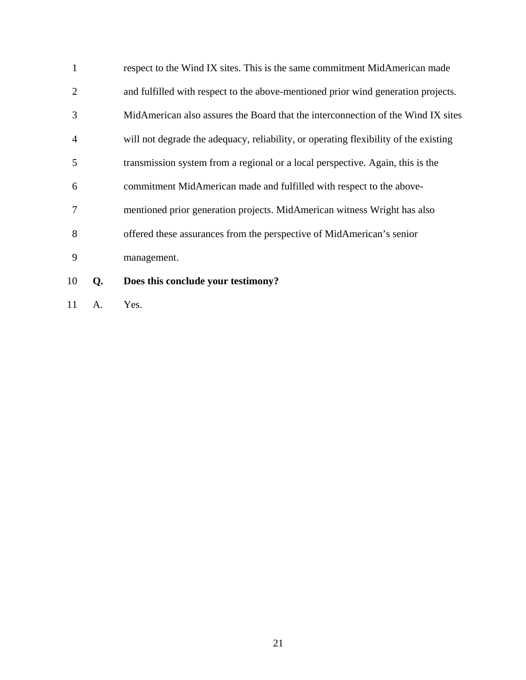| $\mathbf{1}$   | respect to the Wind IX sites. This is the same commitment MidAmerican made           |
|----------------|--------------------------------------------------------------------------------------|
| 2              | and fulfilled with respect to the above-mentioned prior wind generation projects.    |
| 3              | MidAmerican also assures the Board that the interconnection of the Wind IX sites     |
| $\overline{4}$ | will not degrade the adequacy, reliability, or operating flexibility of the existing |
| 5              | transmission system from a regional or a local perspective. Again, this is the       |
| 6              | commitment MidAmerican made and fulfilled with respect to the above-                 |
| $\tau$         | mentioned prior generation projects. MidAmerican witness Wright has also             |
| 8              | offered these assurances from the perspective of MidAmerican's senior                |
| 9              | management.                                                                          |
|                |                                                                                      |

- 10 **Q. Does this conclude your testimony?**
- 11 A. Yes.